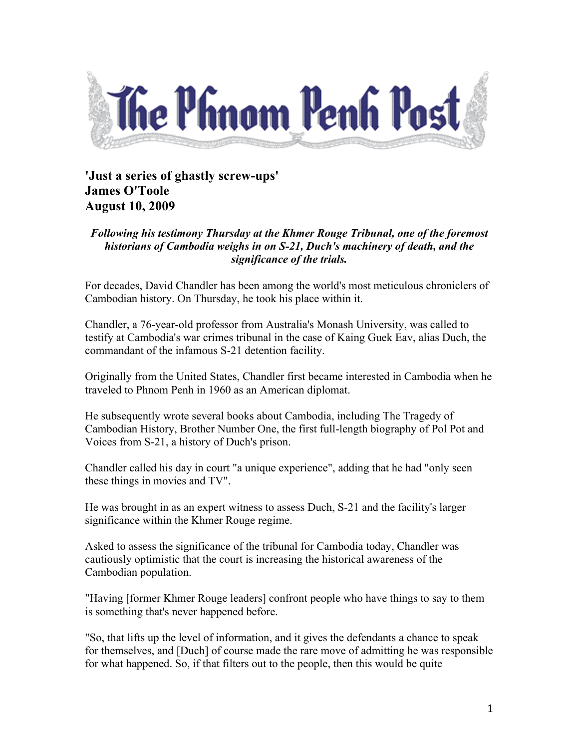

**'Just a series of ghastly screw-ups' James O'Toole August 10, 2009**

## *Following his testimony Thursday at the Khmer Rouge Tribunal, one of the foremost historians of Cambodia weighs in on S-21, Duch's machinery of death, and the significance of the trials.*

For decades, David Chandler has been among the world's most meticulous chroniclers of Cambodian history. On Thursday, he took his place within it.

Chandler, a 76-year-old professor from Australia's Monash University, was called to testify at Cambodia's war crimes tribunal in the case of Kaing Guek Eav, alias Duch, the commandant of the infamous S-21 detention facility.

Originally from the United States, Chandler first became interested in Cambodia when he traveled to Phnom Penh in 1960 as an American diplomat.

He subsequently wrote several books about Cambodia, including The Tragedy of Cambodian History, Brother Number One, the first full-length biography of Pol Pot and Voices from S-21, a history of Duch's prison.

Chandler called his day in court "a unique experience", adding that he had "only seen these things in movies and TV".

He was brought in as an expert witness to assess Duch, S-21 and the facility's larger significance within the Khmer Rouge regime.

Asked to assess the significance of the tribunal for Cambodia today, Chandler was cautiously optimistic that the court is increasing the historical awareness of the Cambodian population.

"Having [former Khmer Rouge leaders] confront people who have things to say to them is something that's never happened before.

"So, that lifts up the level of information, and it gives the defendants a chance to speak for themselves, and [Duch] of course made the rare move of admitting he was responsible for what happened. So, if that filters out to the people, then this would be quite